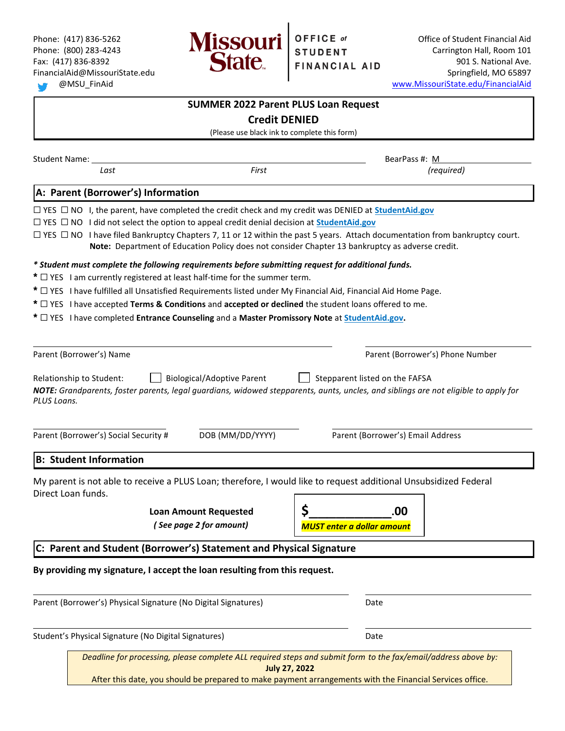

Phone: (417) 836-5262 **Office of Student Financial Aid**  $\blacksquare$  **Office of Student Financial Aid** Phone: (800) 283-4243 **Carrington Hall, Room 101** Carrington Hall, Room 101 Fax:  $(417)$  836-8392 **1210 1210 1210 1210 1210 1210 1210 1210 1210 901 S. National Ave.** FinancialAid@MissouriState.edu Springfield, MO 65897 @MSU\_FinAid [www.MissouriState.edu/FinancialAid](http://www.missouristate.edu/FinancialAid)

|                                                                                                                                                                                                                                                                                                                                                                                                                                                                                                                                              | <b>SUMMER 2022 Parent PLUS Loan Request</b>             |                                                                                                                                                                                                                                           |  |  |               |
|----------------------------------------------------------------------------------------------------------------------------------------------------------------------------------------------------------------------------------------------------------------------------------------------------------------------------------------------------------------------------------------------------------------------------------------------------------------------------------------------------------------------------------------------|---------------------------------------------------------|-------------------------------------------------------------------------------------------------------------------------------------------------------------------------------------------------------------------------------------------|--|--|---------------|
| <b>Credit DENIED</b><br>(Please use black ink to complete this form)                                                                                                                                                                                                                                                                                                                                                                                                                                                                         |                                                         |                                                                                                                                                                                                                                           |  |  |               |
|                                                                                                                                                                                                                                                                                                                                                                                                                                                                                                                                              |                                                         |                                                                                                                                                                                                                                           |  |  | Student Name: |
| Last                                                                                                                                                                                                                                                                                                                                                                                                                                                                                                                                         | First                                                   | (required)                                                                                                                                                                                                                                |  |  |               |
| A: Parent (Borrower's) Information                                                                                                                                                                                                                                                                                                                                                                                                                                                                                                           |                                                         |                                                                                                                                                                                                                                           |  |  |               |
| $\Box$ YES $\Box$ NO I, the parent, have completed the credit check and my credit was DENIED at StudentAid.gov<br>$\Box$ YES $\Box$ NO I did not select the option to appeal credit denial decision at <b>StudentAid.gov</b><br>* Student must complete the following requirements before submitting request for additional funds.<br>$*$ $\Box$ YES I am currently registered at least half-time for the summer term.<br>* $\Box$ YES I have fulfilled all Unsatisfied Requirements listed under My Financial Aid, Financial Aid Home Page. |                                                         | $\Box$ YES $\Box$ NO I have filed Bankruptcy Chapters 7, 11 or 12 within the past 5 years. Attach documentation from bankruptcy court.<br>Note: Department of Education Policy does not consider Chapter 13 bankruptcy as adverse credit. |  |  |               |
| * $\Box$ YES I have accepted Terms & Conditions and accepted or declined the student loans offered to me.<br>* $\Box$ YES I have completed Entrance Counseling and a Master Promissory Note at StudentAid.gov.                                                                                                                                                                                                                                                                                                                               |                                                         |                                                                                                                                                                                                                                           |  |  |               |
| Parent (Borrower's) Name<br>Relationship to Student:<br>PLUS Loans.                                                                                                                                                                                                                                                                                                                                                                                                                                                                          | <b>Biological/Adoptive Parent</b>                       | Parent (Borrower's) Phone Number<br>Stepparent listed on the FAFSA<br>NOTE: Grandparents, foster parents, legal guardians, widowed stepparents, aunts, uncles, and siblings are not eligible to apply for                                 |  |  |               |
| Parent (Borrower's) Social Security #                                                                                                                                                                                                                                                                                                                                                                                                                                                                                                        | DOB (MM/DD/YYYY)                                        | Parent (Borrower's) Email Address                                                                                                                                                                                                         |  |  |               |
| <b>B: Student Information</b>                                                                                                                                                                                                                                                                                                                                                                                                                                                                                                                |                                                         |                                                                                                                                                                                                                                           |  |  |               |
| Direct Loan funds.                                                                                                                                                                                                                                                                                                                                                                                                                                                                                                                           | <b>Loan Amount Requested</b><br>(See page 2 for amount) | My parent is not able to receive a PLUS Loan; therefore, I would like to request additional Unsubsidized Federal<br>¢<br>.00<br><b>MUST enter a dollar amount</b>                                                                         |  |  |               |
| C: Parent and Student (Borrower's) Statement and Physical Signature                                                                                                                                                                                                                                                                                                                                                                                                                                                                          |                                                         |                                                                                                                                                                                                                                           |  |  |               |
| By providing my signature, I accept the loan resulting from this request.                                                                                                                                                                                                                                                                                                                                                                                                                                                                    |                                                         |                                                                                                                                                                                                                                           |  |  |               |
| Parent (Borrower's) Physical Signature (No Digital Signatures)                                                                                                                                                                                                                                                                                                                                                                                                                                                                               |                                                         | Date                                                                                                                                                                                                                                      |  |  |               |
| Student's Physical Signature (No Digital Signatures)                                                                                                                                                                                                                                                                                                                                                                                                                                                                                         | Date                                                    |                                                                                                                                                                                                                                           |  |  |               |
|                                                                                                                                                                                                                                                                                                                                                                                                                                                                                                                                              | <b>July 27, 2022</b>                                    | Deadline for processing, please complete ALL required steps and submit form to the fax/email/address above by:<br>After this date, you should be prepared to make payment arrangements with the Financial Services office.                |  |  |               |